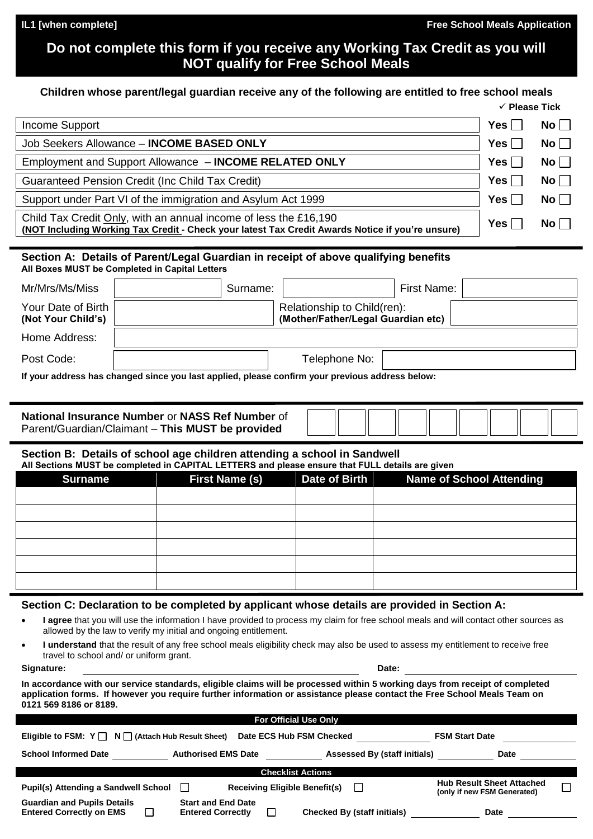#### **IL1 [when complete] Free School Meals Application**

#### **Do not complete this form if you receive any Working Tax Credit as you will NOT qualify for Free School Meals**

#### **Children whose parent/legal guardian receive any of the following are entitled to free school meals**

|                                                                                                                                                                                                                                                                                   |                                                                                                 |                       |  |                                                                   |                                                                                                                                   | $\checkmark$ Please Tick |                                             |
|-----------------------------------------------------------------------------------------------------------------------------------------------------------------------------------------------------------------------------------------------------------------------------------|-------------------------------------------------------------------------------------------------|-----------------------|--|-------------------------------------------------------------------|-----------------------------------------------------------------------------------------------------------------------------------|--------------------------|---------------------------------------------|
| Income Support                                                                                                                                                                                                                                                                    |                                                                                                 |                       |  |                                                                   |                                                                                                                                   | Yes $\Box$               | No                                          |
| Job Seekers Allowance - <b>INCOME BASED ONLY</b>                                                                                                                                                                                                                                  |                                                                                                 |                       |  |                                                                   |                                                                                                                                   |                          | No <sub>1</sub>                             |
| Employment and Support Allowance - INCOME RELATED ONLY                                                                                                                                                                                                                            |                                                                                                 |                       |  |                                                                   |                                                                                                                                   |                          | No <sub>1</sub><br>$\sim$                   |
| <b>Guaranteed Pension Credit (Inc Child Tax Credit)</b>                                                                                                                                                                                                                           |                                                                                                 |                       |  |                                                                   |                                                                                                                                   |                          | No <sub>1</sub>                             |
| Support under Part VI of the immigration and Asylum Act 1999                                                                                                                                                                                                                      |                                                                                                 |                       |  |                                                                   |                                                                                                                                   |                          | No <sub>1</sub><br>$\overline{\phantom{a}}$ |
| Child Tax Credit Only, with an annual income of less the £16,190                                                                                                                                                                                                                  |                                                                                                 |                       |  |                                                                   |                                                                                                                                   | Yes $\Box$               | No <sub>1</sub><br>$\sim$                   |
| (NOT Including Working Tax Credit - Check your latest Tax Credit Awards Notice if you're unsure)                                                                                                                                                                                  |                                                                                                 |                       |  |                                                                   |                                                                                                                                   |                          |                                             |
| Section A: Details of Parent/Legal Guardian in receipt of above qualifying benefits<br>All Boxes MUST be Completed in Capital Letters                                                                                                                                             |                                                                                                 |                       |  |                                                                   |                                                                                                                                   |                          |                                             |
| Mr/Mrs/Ms/Miss                                                                                                                                                                                                                                                                    |                                                                                                 | Surname:              |  |                                                                   | <b>First Name:</b>                                                                                                                |                          |                                             |
| Your Date of Birth<br>(Not Your Child's)                                                                                                                                                                                                                                          |                                                                                                 |                       |  | Relationship to Child(ren):<br>(Mother/Father/Legal Guardian etc) |                                                                                                                                   |                          |                                             |
| Home Address:                                                                                                                                                                                                                                                                     |                                                                                                 |                       |  |                                                                   |                                                                                                                                   |                          |                                             |
| Post Code:                                                                                                                                                                                                                                                                        |                                                                                                 |                       |  | Telephone No:                                                     |                                                                                                                                   |                          |                                             |
|                                                                                                                                                                                                                                                                                   | If your address has changed since you last applied, please confirm your previous address below: |                       |  |                                                                   |                                                                                                                                   |                          |                                             |
|                                                                                                                                                                                                                                                                                   |                                                                                                 |                       |  |                                                                   |                                                                                                                                   |                          |                                             |
| National Insurance Number or NASS Ref Number of<br>Parent/Guardian/Claimant - This MUST be provided                                                                                                                                                                               |                                                                                                 |                       |  |                                                                   |                                                                                                                                   |                          |                                             |
| Section B: Details of school age children attending a school in Sandwell                                                                                                                                                                                                          |                                                                                                 |                       |  |                                                                   |                                                                                                                                   |                          |                                             |
| All Sections MUST be completed in CAPITAL LETTERS and please ensure that FULL details are given<br>Date of Birth<br><b>Name of School Attending</b><br><b>Surname</b>                                                                                                             |                                                                                                 |                       |  |                                                                   |                                                                                                                                   |                          |                                             |
|                                                                                                                                                                                                                                                                                   |                                                                                                 | <b>First Name (s)</b> |  |                                                                   |                                                                                                                                   |                          |                                             |
|                                                                                                                                                                                                                                                                                   |                                                                                                 |                       |  |                                                                   |                                                                                                                                   |                          |                                             |
|                                                                                                                                                                                                                                                                                   |                                                                                                 |                       |  |                                                                   |                                                                                                                                   |                          |                                             |
|                                                                                                                                                                                                                                                                                   |                                                                                                 |                       |  |                                                                   |                                                                                                                                   |                          |                                             |
|                                                                                                                                                                                                                                                                                   |                                                                                                 |                       |  |                                                                   |                                                                                                                                   |                          |                                             |
|                                                                                                                                                                                                                                                                                   |                                                                                                 |                       |  |                                                                   |                                                                                                                                   |                          |                                             |
|                                                                                                                                                                                                                                                                                   |                                                                                                 |                       |  |                                                                   | Section C: Declaration to be completed by applicant whose details are provided in Section A:                                      |                          |                                             |
| I agree that you will use the information I have provided to process my claim for free school meals and will contact other sources as<br>allowed by the law to verify my initial and ongoing entitlement.                                                                         |                                                                                                 |                       |  |                                                                   |                                                                                                                                   |                          |                                             |
| $\bullet$<br>travel to school and/ or uniform grant.                                                                                                                                                                                                                              |                                                                                                 |                       |  |                                                                   | I understand that the result of any free school meals eligibility check may also be used to assess my entitlement to receive free |                          |                                             |
| Signature:                                                                                                                                                                                                                                                                        |                                                                                                 |                       |  |                                                                   | Date:                                                                                                                             |                          |                                             |
| In accordance with our service standards, eligible claims will be processed within 5 working days from receipt of completed<br>application forms. If however you require further information or assistance please contact the Free School Meals Team on<br>0121 569 8186 or 8189. |                                                                                                 |                       |  |                                                                   |                                                                                                                                   |                          |                                             |
| <b>For Official Use Only</b>                                                                                                                                                                                                                                                      |                                                                                                 |                       |  |                                                                   |                                                                                                                                   |                          |                                             |
| Eligible to FSM: Y □ N □ (Attach Hub Result Sheet) Date ECS Hub FSM Checked FSM Start Date                                                                                                                                                                                        |                                                                                                 |                       |  |                                                                   |                                                                                                                                   |                          |                                             |
|                                                                                                                                                                                                                                                                                   |                                                                                                 |                       |  |                                                                   | School Informed Date <b>Matholian Authorised EMS Date Matholian Assessed By (staff initials)</b>                                  | Date                     |                                             |
| <b>Checklist Actions</b>                                                                                                                                                                                                                                                          |                                                                                                 |                       |  |                                                                   |                                                                                                                                   |                          |                                             |
| <b>Hub Result Sheet Attached</b><br><b>Pupil(s) Attending a Sandwell School</b><br><b>Receiving Eligible Benefit(s)</b><br>$\perp$<br>(only if new FSM Generated)                                                                                                                 |                                                                                                 |                       |  |                                                                   |                                                                                                                                   |                          |                                             |
| <b>Guardian and Pupils Details</b><br><b>Start and End Date</b><br><b>Entered Correctly on EMS</b><br><b>Entered Correctly</b><br><b>Checked By (staff initials)</b><br>ΙI<br>$\mathsf{L}$<br>Date                                                                                |                                                                                                 |                       |  |                                                                   |                                                                                                                                   |                          |                                             |